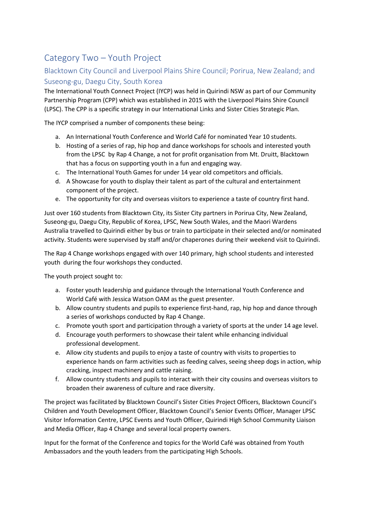## Category Two – Youth Project

## Blacktown City Council and Liverpool Plains Shire Council; Porirua, New Zealand; and Suseong-gu, Daegu City, South Korea

The International Youth Connect Project (IYCP) was held in Quirindi NSW as part of our Community Partnership Program (CPP) which was established in 2015 with the Liverpool Plains Shire Council (LPSC). The CPP is a specific strategy in our International Links and Sister Cities Strategic Plan.

The IYCP comprised a number of components these being:

- a. An International Youth Conference and World Café for nominated Year 10 students.
- b. Hosting of a series of rap, hip hop and dance workshops for schools and interested youth from the LPSC by Rap 4 Change, a not for profit organisation from Mt. Druitt, Blacktown that has a focus on supporting youth in a fun and engaging way.
- c. The International Youth Games for under 14 year old competitors and officials.
- d. A Showcase for youth to display their talent as part of the cultural and entertainment component of the project.
- e. The opportunity for city and overseas visitors to experience a taste of country first hand.

Just over 160 students from Blacktown City, its Sister City partners in Porirua City, New Zealand, Suseong-gu, Daegu City, Republic of Korea, LPSC, New South Wales, and the Maori Wardens Australia travelled to Quirindi either by bus or train to participate in their selected and/or nominated activity. Students were supervised by staff and/or chaperones during their weekend visit to Quirindi.

The Rap 4 Change workshops engaged with over 140 primary, high school students and interested youth during the four workshops they conducted.

The youth project sought to:

- a. Foster youth leadership and guidance through the International Youth Conference and World Café with Jessica Watson OAM as the guest presenter.
- b. Allow country students and pupils to experience first-hand, rap, hip hop and dance through a series of workshops conducted by Rap 4 Change.
- c. Promote youth sport and participation through a variety of sports at the under 14 age level.
- d. Encourage youth performers to showcase their talent while enhancing individual professional development.
- e. Allow city students and pupils to enjoy a taste of country with visits to properties to experience hands on farm activities such as feeding calves, seeing sheep dogs in action, whip cracking, inspect machinery and cattle raising.
- f. Allow country students and pupils to interact with their city cousins and overseas visitors to broaden their awareness of culture and race diversity.

The project was facilitated by Blacktown Council's Sister Cities Project Officers, Blacktown Council's Children and Youth Development Officer, Blacktown Council's Senior Events Officer, Manager LPSC Visitor Information Centre, LPSC Events and Youth Officer, Quirindi High School Community Liaison and Media Officer, Rap 4 Change and several local property owners.

Input for the format of the Conference and topics for the World Café was obtained from Youth Ambassadors and the youth leaders from the participating High Schools.